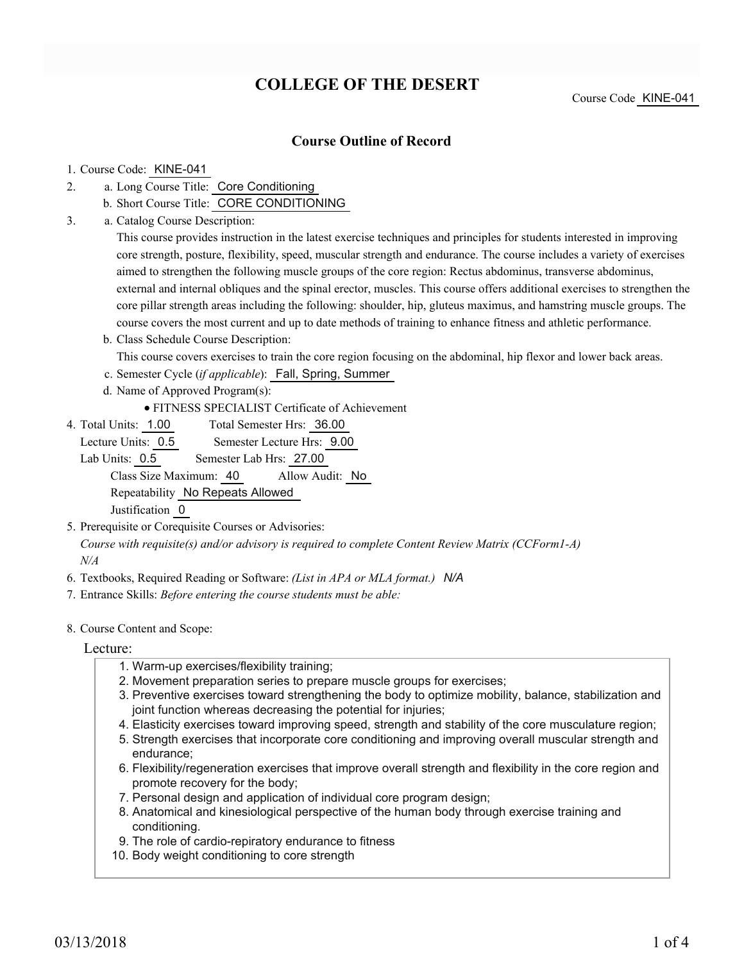# **COLLEGE OF THE DESERT**

### **Course Outline of Record**

#### 1. Course Code: KINE-041

- a. Long Course Title: Core Conditioning 2.
	- b. Short Course Title: CORE CONDITIONING
- Catalog Course Description: a. 3.

This course provides instruction in the latest exercise techniques and principles for students interested in improving core strength, posture, flexibility, speed, muscular strength and endurance. The course includes a variety of exercises aimed to strengthen the following muscle groups of the core region: Rectus abdominus, transverse abdominus, external and internal obliques and the spinal erector, muscles. This course offers additional exercises to strengthen the core pillar strength areas including the following: shoulder, hip, gluteus maximus, and hamstring muscle groups. The course covers the most current and up to date methods of training to enhance fitness and athletic performance.

- b. Class Schedule Course Description:
- This course covers exercises to train the core region focusing on the abdominal, hip flexor and lower back areas.
- c. Semester Cycle (*if applicable*): Fall, Spring, Summer
- d. Name of Approved Program(s):
	- FITNESS SPECIALIST Certificate of Achievement
- Total Semester Hrs: 36.00 4. Total Units: 1.00

Lecture Units: 0.5 Semester Lecture Hrs: 9.00

Lab Units: 0.5 Semester Lab Hrs: 27.00 Class Size Maximum: 40 Allow Audit: No Repeatability No Repeats Allowed Justification 0

- 5. Prerequisite or Corequisite Courses or Advisories: *Course with requisite(s) and/or advisory is required to complete Content Review Matrix (CCForm1-A) N/A*
- 6. Textbooks, Required Reading or Software: *(List in APA or MLA format.) N/A*
- 7. Entrance Skills: *Before entering the course students must be able:*
- 8. Course Content and Scope:

Lecture:

- 1. Warm-up exercises/flexibility training;
- 2. Movement preparation series to prepare muscle groups for exercises;
- 3. Preventive exercises toward strengthening the body to optimize mobility, balance, stabilization and joint function whereas decreasing the potential for injuries;
- 4. Elasticity exercises toward improving speed, strength and stability of the core musculature region;
- 5. Strength exercises that incorporate core conditioning and improving overall muscular strength and endurance;
- 6. Flexibility/regeneration exercises that improve overall strength and flexibility in the core region and promote recovery for the body;
- 7. Personal design and application of individual core program design;
- Anatomical and kinesiological perspective of the human body through exercise training and 8. conditioning.
- 9. The role of cardio-repiratory endurance to fitness
- 10. Body weight conditioning to core strength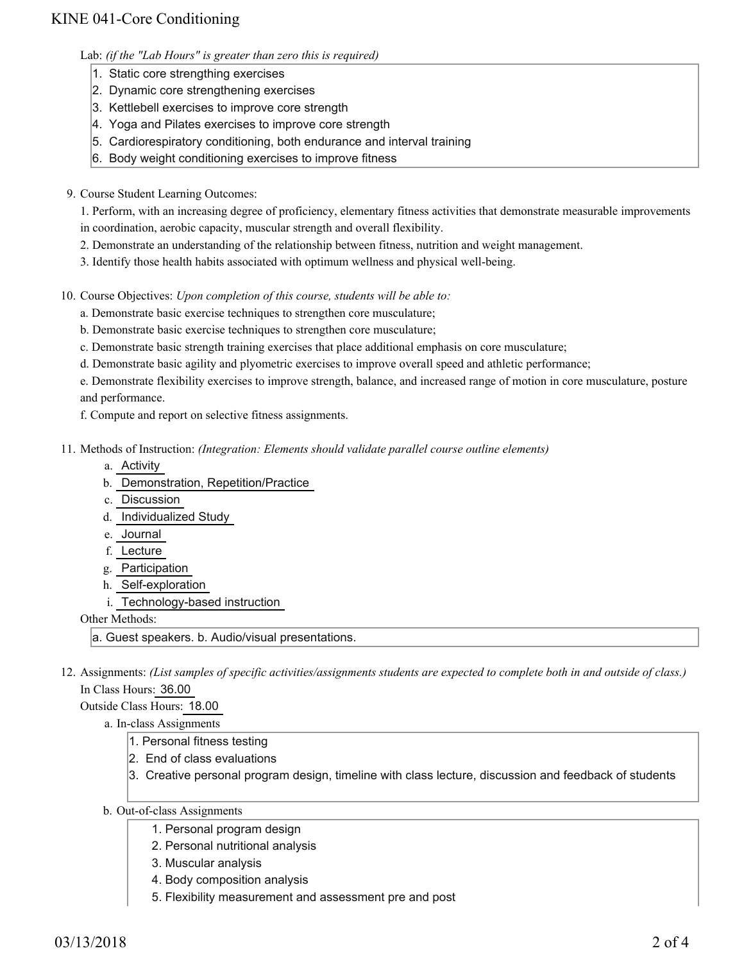## KINE 041-Core Conditioning

Lab: *(if the "Lab Hours" is greater than zero this is required)*

- 1. Static core strengthing exercises
- 2. Dynamic core strengthening exercises
- 3. Kettlebell exercises to improve core strength
- 4. Yoga and Pilates exercises to improve core strength
- 5. Cardiorespiratory conditioning, both endurance and interval training
- 6. Body weight conditioning exercises to improve fitness
- 9. Course Student Learning Outcomes:

1. Perform, with an increasing degree of proficiency, elementary fitness activities that demonstrate measurable improvements in coordination, aerobic capacity, muscular strength and overall flexibility.

- 2. Demonstrate an understanding of the relationship between fitness, nutrition and weight management.
- 3. Identify those health habits associated with optimum wellness and physical well-being.

10. Course Objectives: Upon completion of this course, students will be able to:

- a. Demonstrate basic exercise techniques to strengthen core musculature;
- b. Demonstrate basic exercise techniques to strengthen core musculature;
- c. Demonstrate basic strength training exercises that place additional emphasis on core musculature;
- d. Demonstrate basic agility and plyometric exercises to improve overall speed and athletic performance;

e. Demonstrate flexibility exercises to improve strength, balance, and increased range of motion in core musculature, posture and performance.

f. Compute and report on selective fitness assignments.

11. Methods of Instruction: *(Integration: Elements should validate parallel course outline elements)* 

- a. Activity
- b. Demonstration, Repetition/Practice
- c. Discussion
- d. Individualized Study
- e. Journal
- f. Lecture
- g. Participation
- h. Self-exploration
- i. Technology-based instruction

Other Methods:

a. Guest speakers. b. Audio/visual presentations.

12. Assignments: (List samples of specific activities/assignments students are expected to complete both in and outside of class.) In Class Hours: 36.00

Outside Class Hours: 18.00

- a. In-class Assignments
	- 1. Personal fitness testing
	- 2. End of class evaluations
	- 3. Creative personal program design, timeline with class lecture, discussion and feedback of students
- b. Out-of-class Assignments
	- 1. Personal program design
	- 2. Personal nutritional analysis
	- 3. Muscular analysis
	- 4. Body composition analysis
	- 5. Flexibility measurement and assessment pre and post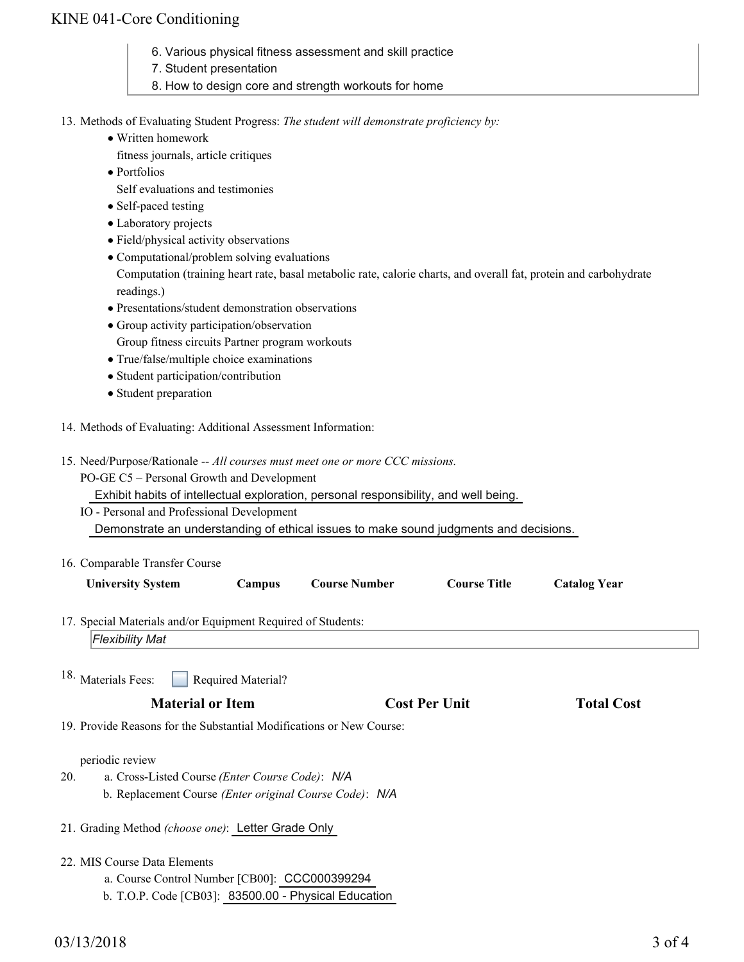## KINE 041-Core Conditioning

- 6. Various physical fitness assessment and skill practice
- 7. Student presentation
- 8. How to design core and strength workouts for home
- 13. Methods of Evaluating Student Progress: The student will demonstrate proficiency by:
	- Written homework
		- fitness journals, article critiques
	- Portfolios

Self evaluations and testimonies

- Self-paced testing
- Laboratory projects
- Field/physical activity observations
- Computational/problem solving evaluations

Computation (training heart rate, basal metabolic rate, calorie charts, and overall fat, protein and carbohydrate readings.)

- Presentations/student demonstration observations
- Group activity participation/observation
	- Group fitness circuits Partner program workouts
- True/false/multiple choice examinations
- Student participation/contribution
- Student preparation
- 14. Methods of Evaluating: Additional Assessment Information:
- 15. Need/Purpose/Rationale -- All courses must meet one or more CCC missions.

PO-GE C5 – Personal Growth and Development

Exhibit habits of intellectual exploration, personal responsibility, and well being.

IO - Personal and Professional Development

Demonstrate an understanding of ethical issues to make sound judgments and decisions.

16. Comparable Transfer Course

|                                                                      | <b>University System</b>                                        | Campus                    | <b>Course Number</b> | <b>Course Title</b>  | <b>Catalog Year</b> |  |
|----------------------------------------------------------------------|-----------------------------------------------------------------|---------------------------|----------------------|----------------------|---------------------|--|
|                                                                      | 17. Special Materials and/or Equipment Required of Students:    |                           |                      |                      |                     |  |
|                                                                      | <b>Flexibility Mat</b>                                          |                           |                      |                      |                     |  |
|                                                                      | <sup>18.</sup> Materials Fees:                                  | <b>Required Material?</b> |                      |                      |                     |  |
|                                                                      | <b>Material or Item</b>                                         |                           |                      | <b>Cost Per Unit</b> | <b>Total Cost</b>   |  |
| 19. Provide Reasons for the Substantial Modifications or New Course: |                                                                 |                           |                      |                      |                     |  |
|                                                                      | periodic review                                                 |                           |                      |                      |                     |  |
| 20.                                                                  | a. Cross-Listed Course ( <i>Enter Course Code</i> ): N/A        |                           |                      |                      |                     |  |
|                                                                      | b. Replacement Course <i>(Enter original Course Code)</i> : N/A |                           |                      |                      |                     |  |

- 21. Grading Method *(choose one)*: Letter Grade Only
- 22. MIS Course Data Elements
	- a. Course Control Number [CB00]: CCC000399294
	- b. T.O.P. Code [CB03]: 83500.00 Physical Education